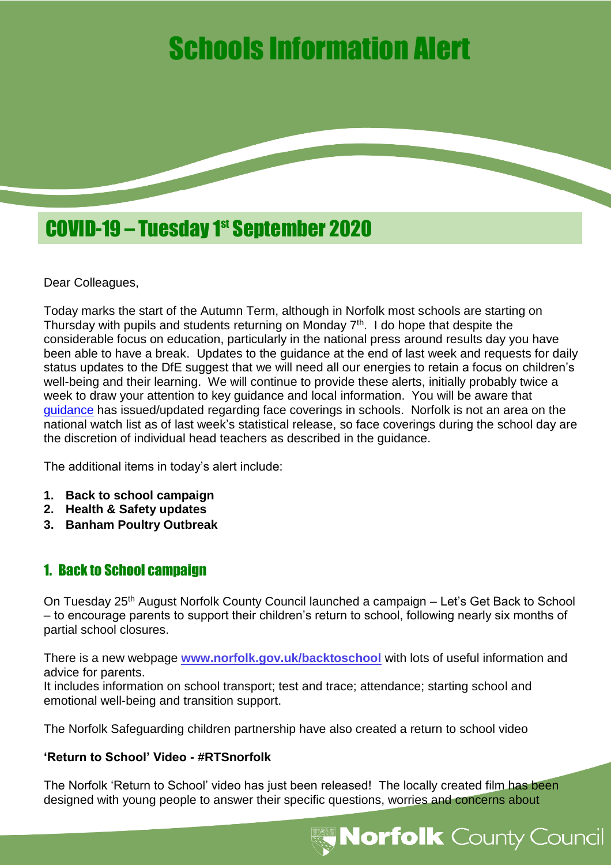# Schools Information Alert



Dear Colleagues,

Today marks the start of the Autumn Term, although in Norfolk most schools are starting on Thursday with pupils and students returning on Monday 7<sup>th</sup>. I do hope that despite the considerable focus on education, particularly in the national press around results day you have been able to have a break. Updates to the guidance at the end of last week and requests for daily status updates to the DfE suggest that we will need all our energies to retain a focus on children's well-being and their learning. We will continue to provide these alerts, initially probably twice a week to draw your attention to key guidance and local information. You will be aware that [guidance](https://www.gov.uk/government/publications/face-coverings-in-education/face-coverings-in-education) has issued/updated regarding face coverings in schools. Norfolk is not an area on the national watch list as of last week's statistical release, so face coverings during the school day are the discretion of individual head teachers as described in the guidance.

The additional items in today's alert include:

- **1. Back to school campaign**
- **2. Health & Safety updates**
- **3. Banham Poultry Outbreak**

## 1. Back to School campaign

On Tuesday 25th August Norfolk County Council launched a campaign – Let's Get Back to School – to encourage parents to support their children's return to school, following nearly six months of partial school closures.

There is a new webpage **[www.norfolk.gov.uk/backtoschool](http://www.norfolk.gov.uk/backtoschool)** with lots of useful information and advice for parents.

It includes information on school transport; test and trace; attendance; starting school and emotional well-being and transition support.

The Norfolk Safeguarding children partnership have also created a return to school video

## **'Return to School' Video - #RTSnorfolk**

The Norfolk 'Return to School' video has just been released! The locally created film has been designed with young people to answer their specific questions, worries and concerns about

**Norfolk** County Council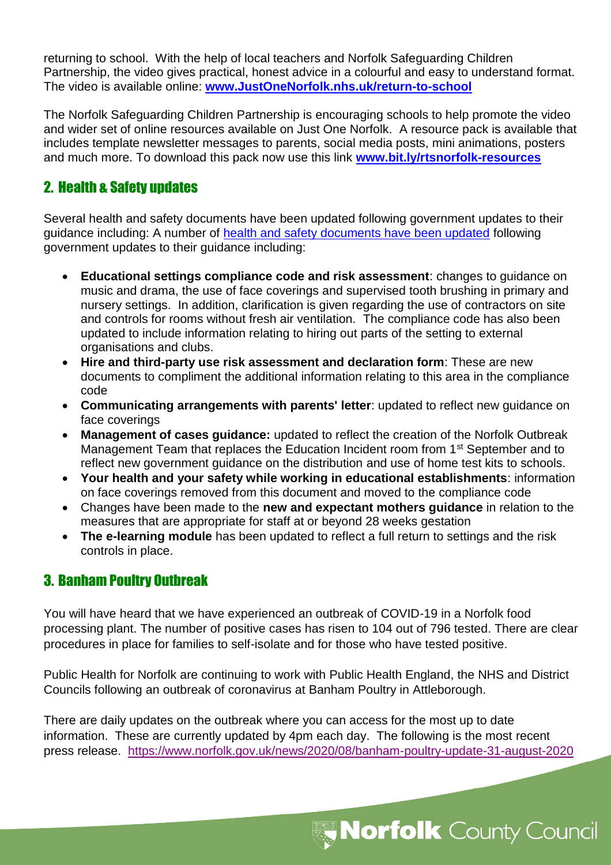returning to school. With the help of local teachers and Norfolk Safeguarding Children Partnership, the video gives practical, honest advice in a colourful and easy to understand format. The video is available online: **[www.JustOneNorfolk.nhs.uk/return-to-school](http://www.justonenorfolk.nhs.uk/return-to-school)**

The Norfolk Safeguarding Children Partnership is encouraging schools to help promote the video and wider set of online resources available on Just One Norfolk. A resource pack is available that includes template newsletter messages to parents, social media posts, mini animations, posters and much more. To download this pack now use this link **[www.bit.ly/rtsnorfolk-resources](http://www.bit.ly/rtsnorfolk-resources)**

# 2. Health & Safety updates

Several health and safety documents have been updated following government updates to their guidance including: A number of [health and safety documents have been updated](https://www.schools.norfolk.gov.uk/coronavirus/health-safety-and-wellbeing) following government updates to their guidance including:

- **Educational settings compliance code and risk assessment**: changes to guidance on music and drama, the use of face coverings and supervised tooth brushing in primary and nursery settings. In addition, clarification is given regarding the use of contractors on site and controls for rooms without fresh air ventilation. The compliance code has also been updated to include information relating to hiring out parts of the setting to external organisations and clubs.
- **Hire and third-party use risk assessment and declaration form**: These are new documents to compliment the additional information relating to this area in the compliance code
- **Communicating arrangements with parents' letter**: updated to reflect new guidance on face coverings
- **Management of cases guidance:** updated to reflect the creation of the Norfolk Outbreak Management Team that replaces the Education Incident room from 1<sup>st</sup> September and to reflect new government guidance on the distribution and use of home test kits to schools.
- **Your health and your safety while working in educational establishments**: information on face coverings removed from this document and moved to the compliance code
- Changes have been made to the **new and expectant mothers guidance** in relation to the measures that are appropriate for staff at or beyond 28 weeks gestation
- **The e-learning module** has been updated to reflect a full return to settings and the risk controls in place.

## 3. Banham Poultry Outbreak

You will have heard that we have experienced an outbreak of COVID-19 in a Norfolk food processing plant. The number of positive cases has risen to 104 out of 796 tested. There are clear procedures in place for families to self-isolate and for those who have tested positive.

Public Health for Norfolk are continuing to work with Public Health England, the NHS and District Councils following an outbreak of coronavirus at Banham Poultry in Attleborough.

There are daily updates on the outbreak where you can access for the most up to date information. These are currently updated by 4pm each day. The following is the most recent press release. <https://www.norfolk.gov.uk/news/2020/08/banham-poultry-update-31-august-2020>